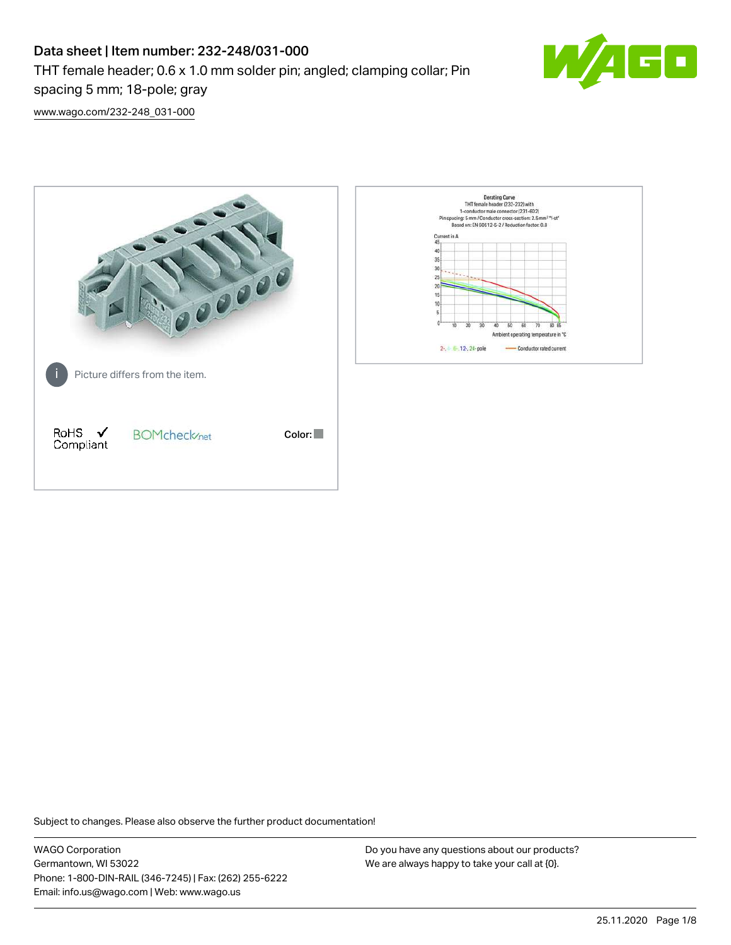# Data sheet | Item number: 232-248/031-000 THT female header; 0.6 x 1.0 mm solder pin; angled; clamping collar; Pin spacing 5 mm; 18-pole; gray



[www.wago.com/232-248\\_031-000](http://www.wago.com/232-248_031-000)



Subject to changes. Please also observe the further product documentation!

WAGO Corporation Germantown, WI 53022 Phone: 1-800-DIN-RAIL (346-7245) | Fax: (262) 255-6222 Email: info.us@wago.com | Web: www.wago.us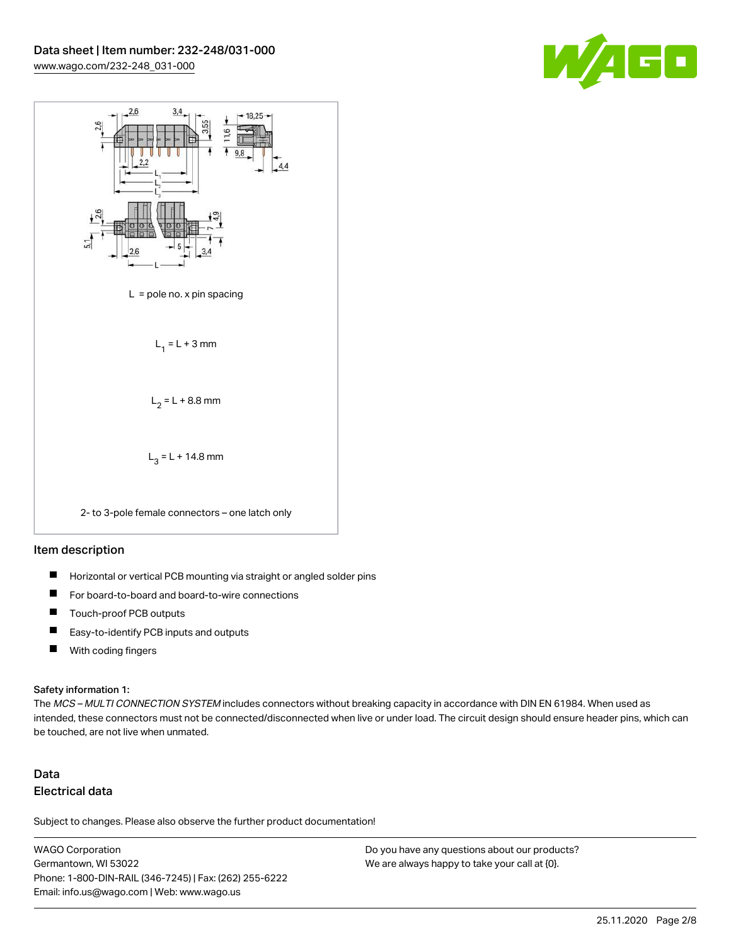



### Item description

- $\blacksquare$ Horizontal or vertical PCB mounting via straight or angled solder pins
- П For board-to-board and board-to-wire connections
- $\blacksquare$ Touch-proof PCB outputs
- $\blacksquare$ Easy-to-identify PCB inputs and outputs
- $\blacksquare$ With coding fingers

#### Safety information 1:

The MCS - MULTI CONNECTION SYSTEM includes connectors without breaking capacity in accordance with DIN EN 61984. When used as intended, these connectors must not be connected/disconnected when live or under load. The circuit design should ensure header pins, which can be touched, are not live when unmated.

# Data Electrical data

Subject to changes. Please also observe the further product documentation!

WAGO Corporation Germantown, WI 53022 Phone: 1-800-DIN-RAIL (346-7245) | Fax: (262) 255-6222 Email: info.us@wago.com | Web: www.wago.us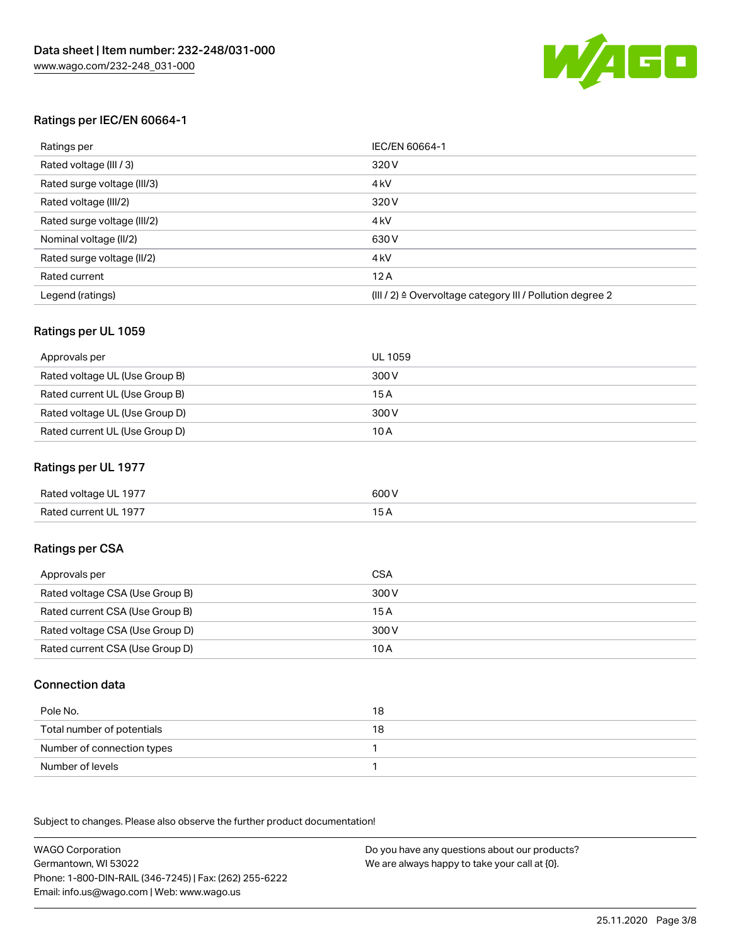

# Ratings per IEC/EN 60664-1

| Ratings per                 | IEC/EN 60664-1                                                        |
|-----------------------------|-----------------------------------------------------------------------|
| Rated voltage (III / 3)     | 320 V                                                                 |
| Rated surge voltage (III/3) | 4 <sub>k</sub> V                                                      |
| Rated voltage (III/2)       | 320 V                                                                 |
| Rated surge voltage (III/2) | 4 <sub>k</sub> V                                                      |
| Nominal voltage (II/2)      | 630 V                                                                 |
| Rated surge voltage (II/2)  | 4 <sub>k</sub> V                                                      |
| Rated current               | 12A                                                                   |
| Legend (ratings)            | $(III / 2)$ $\triangle$ Overvoltage category III / Pollution degree 2 |

#### Ratings per UL 1059

| Approvals per                  | UL 1059 |
|--------------------------------|---------|
| Rated voltage UL (Use Group B) | 300 V   |
| Rated current UL (Use Group B) | 15 A    |
| Rated voltage UL (Use Group D) | 300 V   |
| Rated current UL (Use Group D) | 10 A    |

# Ratings per UL 1977

| Rated voltage UL 1977 | 600 <sup>V</sup><br>. |
|-----------------------|-----------------------|
| Rated current UL 1977 |                       |

# Ratings per CSA

| Approvals per                   | CSA   |
|---------------------------------|-------|
| Rated voltage CSA (Use Group B) | 300 V |
| Rated current CSA (Use Group B) | 15 A  |
| Rated voltage CSA (Use Group D) | 300 V |
| Rated current CSA (Use Group D) | 10 A  |

### Connection data

| Pole No.                   | 18 |
|----------------------------|----|
| Total number of potentials | 18 |
| Number of connection types |    |
| Number of levels           |    |

.<br>Subject to changes. Please also observe the further product documentation!

WAGO Corporation Germantown, WI 53022 Phone: 1-800-DIN-RAIL (346-7245) | Fax: (262) 255-6222 Email: info.us@wago.com | Web: www.wago.us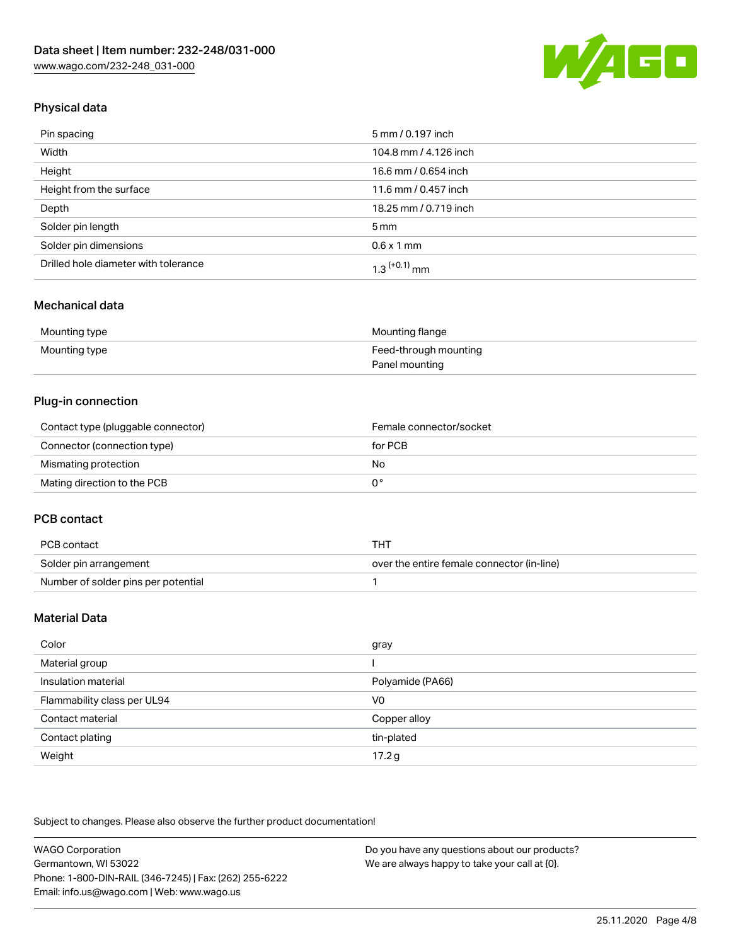

# Physical data

| Pin spacing                          | 5 mm / 0.197 inch     |
|--------------------------------------|-----------------------|
| Width                                | 104.8 mm / 4.126 inch |
| Height                               | 16.6 mm / 0.654 inch  |
| Height from the surface              | 11.6 mm / 0.457 inch  |
| Depth                                | 18.25 mm / 0.719 inch |
| Solder pin length                    | $5 \,\mathrm{mm}$     |
| Solder pin dimensions                | $0.6 \times 1$ mm     |
| Drilled hole diameter with tolerance | $1.3$ $(+0.1)$ mm     |

### Mechanical data

| Mounting type | Mounting flange       |
|---------------|-----------------------|
| Mounting type | Feed-through mounting |
|               | Panel mounting        |

# Plug-in connection

| Contact type (pluggable connector) | Female connector/socket |
|------------------------------------|-------------------------|
| Connector (connection type)        | for PCB                 |
| Mismating protection               | No                      |
| Mating direction to the PCB        |                         |

# PCB contact

| PCB contact                         | тнт                                        |
|-------------------------------------|--------------------------------------------|
| Solder pin arrangement              | over the entire female connector (in-line) |
| Number of solder pins per potential |                                            |

# Material Data

| Color                       | gray             |
|-----------------------------|------------------|
| Material group              |                  |
| Insulation material         | Polyamide (PA66) |
| Flammability class per UL94 | V <sub>0</sub>   |
| Contact material            | Copper alloy     |
| Contact plating             | tin-plated       |
| Weight                      | 17.2 g           |

Subject to changes. Please also observe the further product documentation!

| WAGO Corporation                                       | Do you have any questions about our products? |
|--------------------------------------------------------|-----------------------------------------------|
| Germantown, WI 53022                                   | We are always happy to take your call at {0}. |
| Phone: 1-800-DIN-RAIL (346-7245)   Fax: (262) 255-6222 |                                               |
| Email: info.us@wago.com   Web: www.wago.us             |                                               |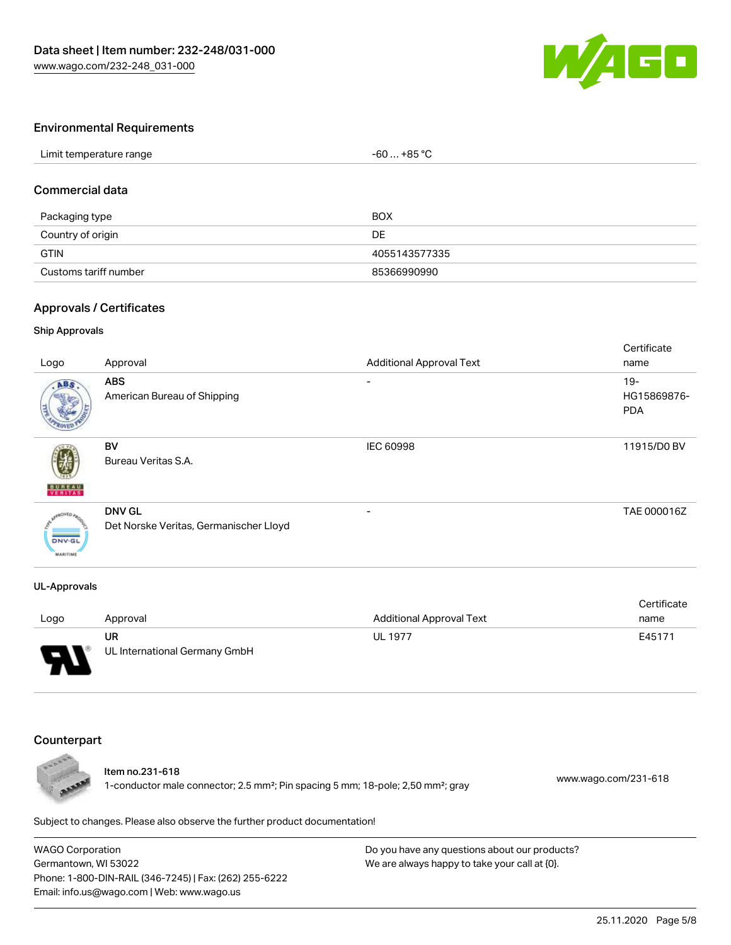

#### Environmental Requirements

| Limit temperature range | $+85 °C$<br>-60 |
|-------------------------|-----------------|
|                         |                 |

# Commercial data

| Packaging type        | <b>BOX</b>    |
|-----------------------|---------------|
| Country of origin     | DE.           |
| <b>GTIN</b>           | 4055143577335 |
| Customs tariff number | 85366990990   |

#### Approvals / Certificates

#### Ship Approvals

| Logo                             | Approval                                                | <b>Additional Approval Text</b> | Certificate<br>name                 |
|----------------------------------|---------------------------------------------------------|---------------------------------|-------------------------------------|
| ABS                              | <b>ABS</b><br>American Bureau of Shipping               | ۰                               | $19 -$<br>HG15869876-<br><b>PDA</b> |
| <b>BUNEAU</b>                    | BV<br>Bureau Veritas S.A.                               | IEC 60998                       | 11915/D0 BV                         |
| <b>DNV-GL</b><br><b>MARITIME</b> | <b>DNV GL</b><br>Det Norske Veritas, Germanischer Lloyd | $\overline{\phantom{0}}$        | TAE 000016Z                         |

#### UL-Approvals

|      |                               |                                 | Certificate |
|------|-------------------------------|---------------------------------|-------------|
| Logo | Approval                      | <b>Additional Approval Text</b> | name        |
|      | UR                            | <b>UL 1977</b>                  | E45171      |
| Б    | UL International Germany GmbH |                                 |             |

#### Counterpart



#### Item no.231-618

1-conductor male connector; 2.5 mm²; Pin spacing 5 mm; 18-pole; 2,50 mm²; gray [www.wago.com/231-618](https://www.wago.com/231-618)

Subject to changes. Please also observe the further product documentation!

WAGO Corporation Germantown, WI 53022 Phone: 1-800-DIN-RAIL (346-7245) | Fax: (262) 255-6222 Email: info.us@wago.com | Web: www.wago.us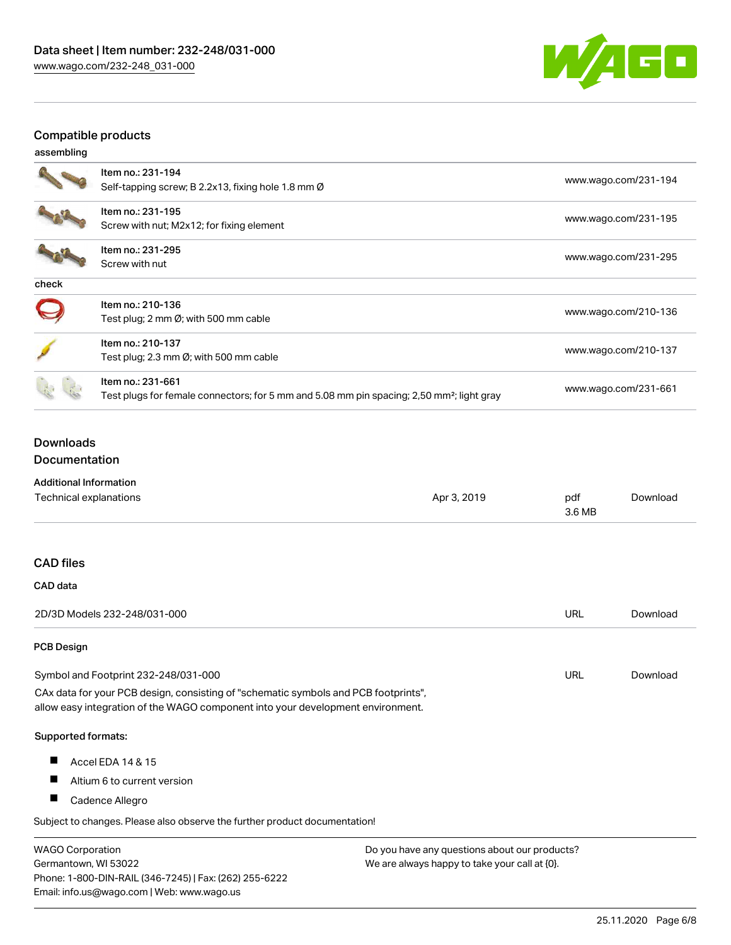

# Compatible products

| assembling |  |
|------------|--|
|            |  |

|       | Item no.: 231-194<br>Self-tapping screw; B 2.2x13, fixing hole 1.8 mm Ø                                                    | www.wago.com/231-194 |
|-------|----------------------------------------------------------------------------------------------------------------------------|----------------------|
|       | Item no.: 231-195<br>Screw with nut; M2x12; for fixing element                                                             | www.wago.com/231-195 |
|       | Item no.: 231-295<br>Screw with nut                                                                                        | www.wago.com/231-295 |
| check |                                                                                                                            |                      |
|       | Item no.: 210-136<br>Test plug; 2 mm Ø; with 500 mm cable                                                                  | www.wago.com/210-136 |
|       | Item no.: 210-137<br>Test plug; 2.3 mm $\emptyset$ ; with 500 mm cable                                                     | www.wago.com/210-137 |
|       | Item no.: 231-661<br>Test plugs for female connectors; for 5 mm and 5.08 mm pin spacing; 2,50 mm <sup>2</sup> ; light gray | www.wago.com/231-661 |

# Downloads Documentation

| <b>Additional Information</b>                                                                                                                                          |             |               |          |
|------------------------------------------------------------------------------------------------------------------------------------------------------------------------|-------------|---------------|----------|
| Technical explanations                                                                                                                                                 | Apr 3, 2019 | pdf<br>3.6 MB | Download |
|                                                                                                                                                                        |             |               |          |
| <b>CAD files</b>                                                                                                                                                       |             |               |          |
| CAD data                                                                                                                                                               |             |               |          |
| 2D/3D Models 232-248/031-000                                                                                                                                           |             | <b>URL</b>    | Download |
| <b>PCB Design</b>                                                                                                                                                      |             |               |          |
| Symbol and Footprint 232-248/031-000                                                                                                                                   |             | <b>URL</b>    | Download |
| CAx data for your PCB design, consisting of "schematic symbols and PCB footprints",<br>allow easy integration of the WAGO component into your development environment. |             |               |          |
| Supported formats:                                                                                                                                                     |             |               |          |
| Accel EDA 14 & 15<br>ш                                                                                                                                                 |             |               |          |
| ш<br>Altium 6 to current version                                                                                                                                       |             |               |          |

Cadence Allegro

Subject to changes. Please also observe the further product documentation!

WAGO Corporation Germantown, WI 53022 Phone: 1-800-DIN-RAIL (346-7245) | Fax: (262) 255-6222 Email: info.us@wago.com | Web: www.wago.us Do you have any questions about our products? We are always happy to take your call at {0}.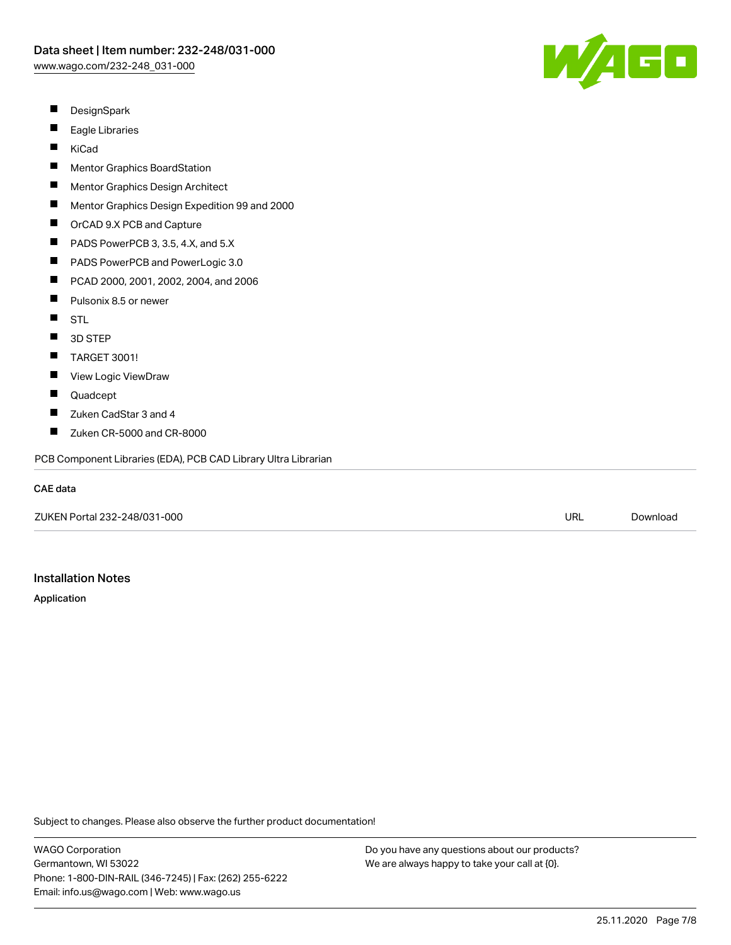

- $\blacksquare$ DesignSpark
- П Eagle Libraries
- П KiCad
- $\blacksquare$ Mentor Graphics BoardStation
- $\blacksquare$ Mentor Graphics Design Architect
- П Mentor Graphics Design Expedition 99 and 2000
- $\blacksquare$ OrCAD 9.X PCB and Capture
- $\blacksquare$ PADS PowerPCB 3, 3.5, 4.X, and 5.X
- $\blacksquare$ PADS PowerPCB and PowerLogic 3.0
- $\blacksquare$ PCAD 2000, 2001, 2002, 2004, and 2006
- П Pulsonix 8.5 or newer
- $\blacksquare$ **STL**
- $\blacksquare$ 3D STEP
- П TARGET 3001!
- $\blacksquare$ View Logic ViewDraw
- $\blacksquare$ Quadcept
- П Zuken CadStar 3 and 4
- П Zuken CR-5000 and CR-8000

PCB Component Libraries (EDA), PCB CAD Library Ultra Librarian

#### CAE data

ZUKEN Portal 232-248/031-000 URL [Download](https://www.wago.com/us/d/Zuken_URLS_232-248_031-000)

# Installation Notes

#### Application

Subject to changes. Please also observe the further product documentation!

WAGO Corporation Germantown, WI 53022 Phone: 1-800-DIN-RAIL (346-7245) | Fax: (262) 255-6222 Email: info.us@wago.com | Web: www.wago.us